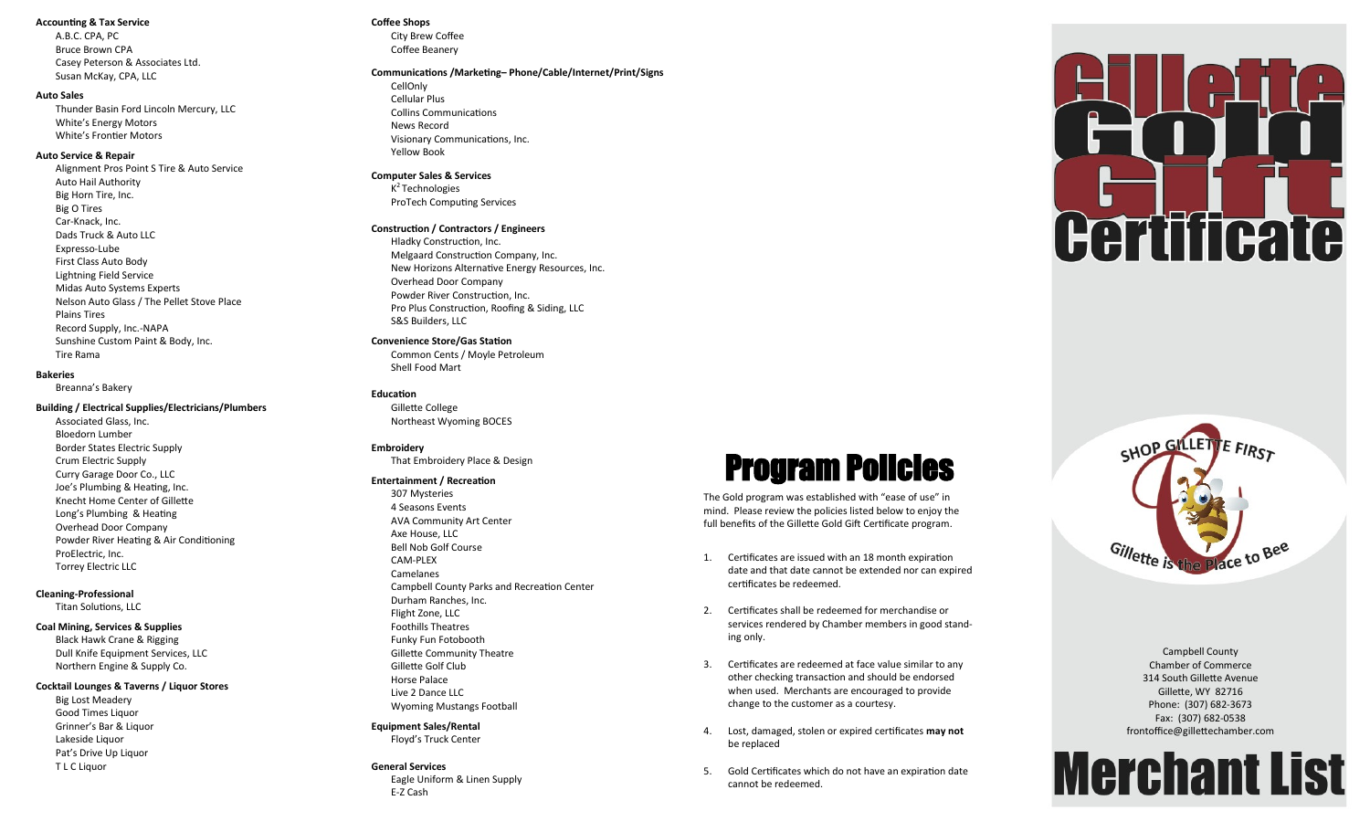#### **Accounting & Tax Service**

A.B.C. CPA, PC Bruce Brown CPA Casey Peterson & Associates Ltd. Susan McKay, CPA, LLC

#### **Auto Sales**

Thunder Basin Ford Lincoln Mercury, LLC White 's Energy Motors White 's Frontier Motors

#### **Auto Service & Repair**

Alignment Pros Point S Tire & Auto Service Auto Hail Authority Big Horn Tire, Inc. Big O Tires Car -Knack, Inc. Dads Truck & Auto LLC Expresso -Lube First Class Auto Body Lightning Field Service Midas Auto Systems Experts Nelson Auto Glass / The Pellet Stove Place Plains Tires Record Supply, Inc. -NAPA Sunshine Custom Paint & Body, Inc. Tire Rama

#### **Bakeries**

Breanna 's Bakery

#### **Building / Electrical Supplies/Electricians/Plumbers**

Associated Glass, Inc. Bloedorn Lumber Border States Electric Supply Crum Electric Supply Curry Garage Door Co., LLC Joe 's Plumbing & Heating, Inc. Knecht Home Center of Gillette Long 's Plumbing & Heating Overhead Door Company Powder River Heating & Air Conditioning ProElectric, Inc. Torrey Electric LLC

## **Cleaning -Professional**

Titan Solutions, LLC

#### **Coal Mining, Services & Supplies**

Black Hawk Crane & Rigging Dull Knife Equipment Services, LLC Northern Engine & Supply Co.

#### **Cocktail Lounges & Taverns / Liquor Stores**

Big Lost Meadery Good Times Liquor Grinner 's Bar & Liquor Lakeside Liquor Pat 's Drive Up Liquor T L C Liquor

#### **Coffee Shops**

City Brew Coffee Coffee Beanery

#### **Communications /Marketing– Phone/Cable/Internet/Print/Signs**

CellOnly Cellular Plus Collins Communications News Record Visionary Communications, Inc. Yellow Book

# **Computer Sales & Services**

K<sup>2</sup> Technologies ProTech Computing Services

#### **Construction / Contractors / Engineers**

Hladky Construction, Inc. Melgaard Construction Company, Inc. New Horizons Alternative Energy Resources, Inc. Overhead Door Company Powder River Construction, Inc. Pro Plus Construction, Roofing & Siding, LLC S&S Builders, LLC

#### **Convenience Store/Gas Station**

Common Cents / Moyle Petroleum Shell Food Mart

#### **Education**

Gillette College Northeast Wyoming BOCES

#### **Embroidery**

That Embroidery Place & Design

#### **Entertainment / Recreation**

307 Mysteries 4 Seasons Events AVA Community Art Center Axe House, LLC Bell Nob Golf Course CAM -PLEX Camelanes Campbell County Parks and Recreation Center Durham Ranches, Inc. Flight Zone, LLC Foothills Theatres Funky Fun Fotobooth Gillette Community Theatre Gillette Golf Club Horse Palace Live 2 Dance LLC Wyoming Mustangs Football

# **Equipment Sales/Rental**

Floyd 's Truck Center

# **General Services**

Eagle Uniform & Linen Supply E-Z Cash



# **Program Policies**

The Gold program was established with "ease of use" in mind. Please review the policies listed below to enjoy the full benefits of the Gillette Gold Gift Certificate program.

- 1. Certificates are issued with an 18 month expiration date and that date cannot be extended nor can expired certificates be redeemed.
- 2. Certificates shall be redeemed for merchandise or services rendered by Chamber members in good standing only.
- 3. Certificates are redeemed at face value similar to any other checking transaction and should be endorsed when used. Merchants are encouraged to provide change to the customer as a courtesy.
- 4. Lost, damaged, stolen or expired certificates **may not**  be replaced
- 5. Gold Certificates which do not have an expiration date cannot be redeemed.



Campbell County Chamber of Commerce 314 South Gillette Avenue Gillette, WY 82716 Phone: (307) 682 -3673 Fax: (307) 682 -0538 frontoffice@gillettechamber.com